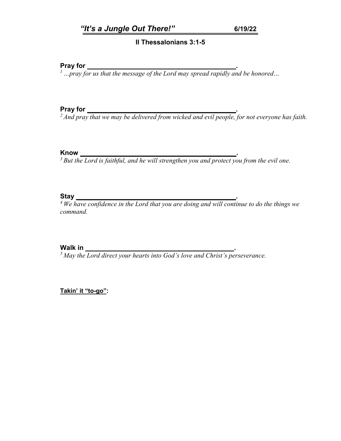### **II Thessalonians 3:1-5**

**Pray for** *\_\_\_\_\_\_\_\_\_\_\_\_\_\_\_\_\_\_\_\_\_\_\_\_\_\_\_\_\_\_\_\_\_\_\_\_\_\_\_\_***.** *1 …pray for us that the message of the Lord may spread rapidly and be honored…*

**Pray for** *\_\_\_\_\_\_\_\_\_\_\_\_\_\_\_\_\_\_\_\_\_\_\_\_\_\_\_\_\_\_\_\_\_\_\_\_\_\_\_\_***.** *2 And pray that we may be delivered from wicked and evil people, for not everyone has faith.*

**Know** *\_\_\_\_\_\_\_\_\_\_\_\_\_\_\_\_\_\_\_\_\_\_\_\_\_\_\_\_\_\_\_\_\_\_\_\_\_\_\_\_\_\_***.** *3 But the Lord is faithful, and he will strengthen you and protect you from the evil one.*

**Stay**<br><sup>4</sup> We have confidence in the Lord that you are doing and will continue to do the things we *command.*

**Walk in** *\_\_\_\_\_\_\_\_\_\_\_\_\_\_\_\_\_\_\_\_\_\_\_\_\_\_\_\_\_\_\_\_\_\_\_\_\_\_\_\_***.** *5 May the Lord direct your hearts into God's love and Christ's perseverance.*

**Takin' it "to-go":**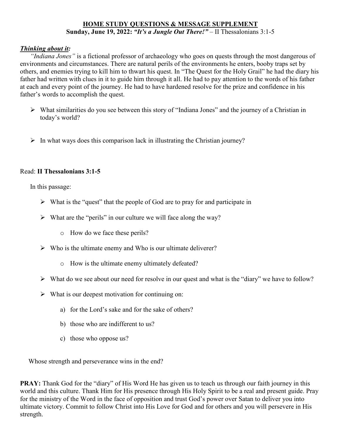## **HOME STUDY QUESTIONS & MESSAGE SUPPLEMENT Sunday, June 19, 2022:** *"It's a Jungle Out There!"* – II Thessalonians 3:1-5

### *Thinking about it:*

*"Indiana Jones"* is a fictional professor of archaeology who goes on quests through the most dangerous of environments and circumstances. There are natural perils of the environments he enters, booby traps set by others, and enemies trying to kill him to thwart his quest. In "The Quest for the Holy Grail" he had the diary his father had written with clues in it to guide him through it all. He had to pay attention to the words of his father at each and every point of the journey. He had to have hardened resolve for the prize and confidence in his father's words to accomplish the quest.

- What similarities do you see between this story of "Indiana Jones" and the journey of a Christian in today's world?
- $\triangleright$  In what ways does this comparison lack in illustrating the Christian journey?

## Read: **II Thessalonians 3:1-5**

In this passage:

- $\triangleright$  What is the "quest" that the people of God are to pray for and participate in
- $\triangleright$  What are the "perils" in our culture we will face along the way?
	- o How do we face these perils?
- $\triangleright$  Who is the ultimate enemy and Who is our ultimate deliverer?
	- o How is the ultimate enemy ultimately defeated?
- $\triangleright$  What do we see about our need for resolve in our quest and what is the "diary" we have to follow?
- $\triangleright$  What is our deepest motivation for continuing on:
	- a) for the Lord's sake and for the sake of others?
	- b) those who are indifferent to us?
	- c) those who oppose us?

Whose strength and perseverance wins in the end?

**PRAY:** Thank God for the "diary" of His Word He has given us to teach us through our faith journey in this world and this culture. Thank Him for His presence through His Holy Spirit to be a real and present guide. Pray for the ministry of the Word in the face of opposition and trust God's power over Satan to deliver you into ultimate victory. Commit to follow Christ into His Love for God and for others and you will persevere in His strength.